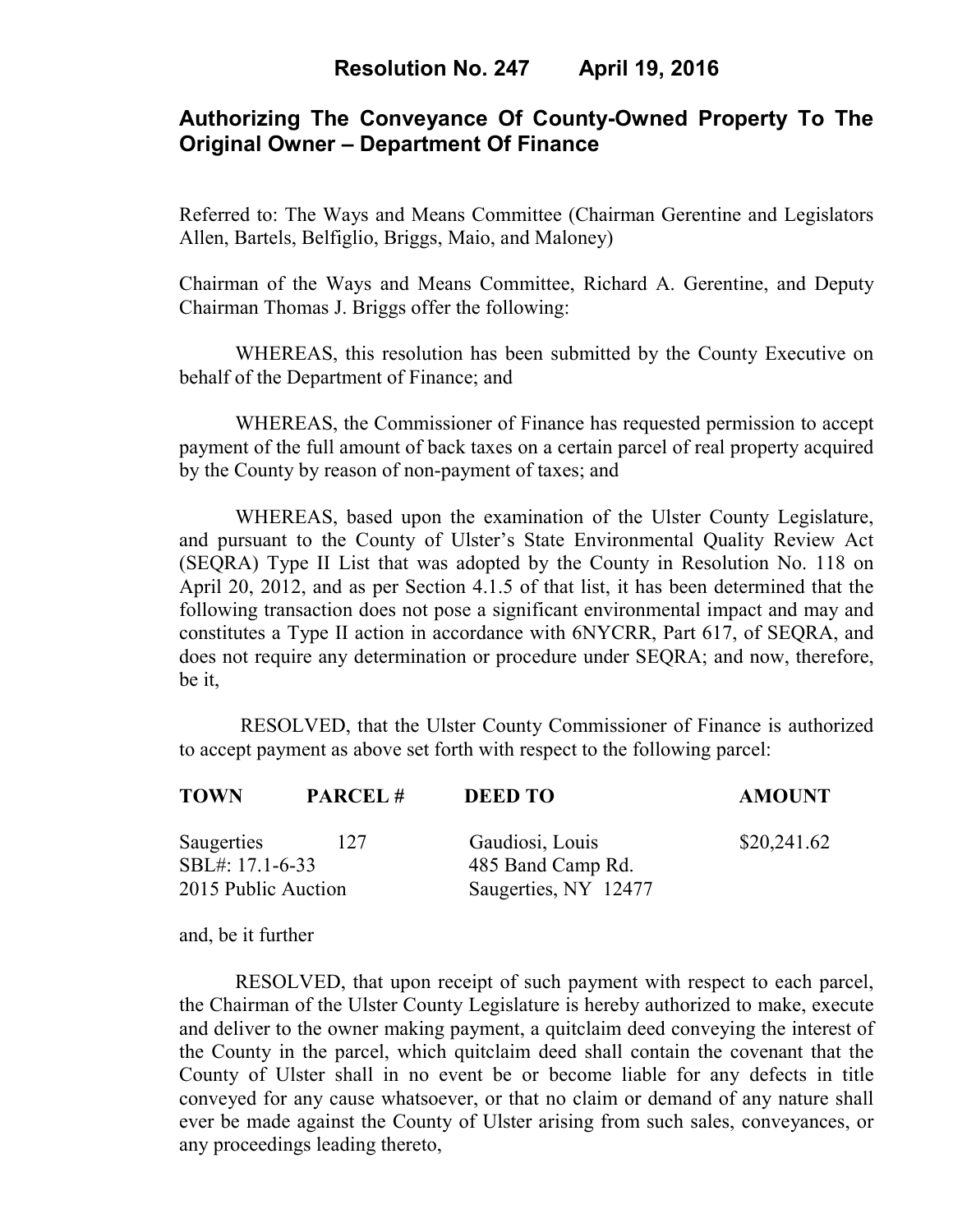# **Authorizing The Conveyance Of County-Owned Property To The Original Owner – Department Of Finance**

Referred to: The Ways and Means Committee (Chairman Gerentine and Legislators Allen, Bartels, Belfiglio, Briggs, Maio, and Maloney)

Chairman of the Ways and Means Committee, Richard A. Gerentine, and Deputy Chairman Thomas J. Briggs offer the following:

WHEREAS, this resolution has been submitted by the County Executive on behalf of the Department of Finance; and

WHEREAS, the Commissioner of Finance has requested permission to accept payment of the full amount of back taxes on a certain parcel of real property acquired by the County by reason of non-payment of taxes; and

WHEREAS, based upon the examination of the Ulster County Legislature, and pursuant to the County of Ulster's State Environmental Quality Review Act (SEQRA) Type II List that was adopted by the County in Resolution No. 118 on April 20, 2012, and as per Section 4.1.5 of that list, it has been determined that the following transaction does not pose a significant environmental impact and may and constitutes a Type II action in accordance with 6NYCRR, Part 617, of SEQRA, and does not require any determination or procedure under SEQRA; and now, therefore, be it,

 RESOLVED, that the Ulster County Commissioner of Finance is authorized to accept payment as above set forth with respect to the following parcel:

| <b>TOWN</b>                   | <b>PARCEL#</b> | <b>DEED TO</b>                       | <b>AMOUNT</b> |
|-------------------------------|----------------|--------------------------------------|---------------|
| Saugerties<br>SBL#: 17.1-6-33 | 12.7           | Gaudiosi, Louis<br>485 Band Camp Rd. | \$20,241.62   |
| 2015 Public Auction           |                | Saugerties, NY 12477                 |               |

and, be it further

RESOLVED, that upon receipt of such payment with respect to each parcel, the Chairman of the Ulster County Legislature is hereby authorized to make, execute and deliver to the owner making payment, a quitclaim deed conveying the interest of the County in the parcel, which quitclaim deed shall contain the covenant that the County of Ulster shall in no event be or become liable for any defects in title conveyed for any cause whatsoever, or that no claim or demand of any nature shall ever be made against the County of Ulster arising from such sales, conveyances, or any proceedings leading thereto,